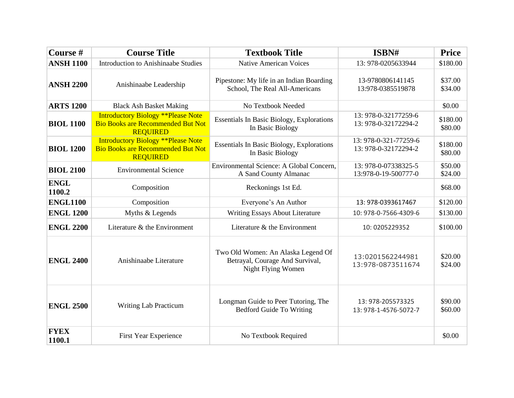| Course #              | <b>Course Title</b>                                                                                       | <b>Textbook Title</b>                                                                       | ISBN#                                         | <b>Price</b>        |
|-----------------------|-----------------------------------------------------------------------------------------------------------|---------------------------------------------------------------------------------------------|-----------------------------------------------|---------------------|
| <b>ANSH 1100</b>      | <b>Introduction to Anishinaabe Studies</b>                                                                | <b>Native American Voices</b>                                                               | 13: 978-0205633944                            | \$180.00            |
| <b>ANSH 2200</b>      | Anishinaabe Leadership                                                                                    | Pipestone: My life in an Indian Boarding<br>School, The Real All-Americans                  | 13-9780806141145<br>13:978-0385519878         | \$37.00<br>\$34.00  |
| <b>ARTS 1200</b>      | <b>Black Ash Basket Making</b>                                                                            | No Textbook Needed                                                                          |                                               | \$0.00              |
| <b>BIOL 1100</b>      | <b>Introductory Biology **Please Note</b><br><b>Bio Books are Recommended But Not</b><br><b>REQUIRED</b>  | <b>Essentials In Basic Biology, Explorations</b><br>In Basic Biology                        | 13: 978-0-32177259-6<br>13: 978-0-32172294-2  | \$180.00<br>\$80.00 |
| <b>BIOL 1200</b>      | <b>Introductory Biology ** Please Note</b><br><b>Bio Books are Recommended But Not</b><br><b>REQUIRED</b> | <b>Essentials In Basic Biology, Explorations</b><br>In Basic Biology                        | 13: 978-0-321-77259-6<br>13: 978-0-32172294-2 | \$180.00<br>\$80.00 |
| <b>BIOL 2100</b>      | <b>Environmental Science</b>                                                                              | Environmental Science: A Global Concern,<br>A Sand County Almanac                           | 13: 978-0-07338325-5<br>13:978-0-19-500777-0  | \$50.00<br>\$24.00  |
| <b>ENGL</b><br>1100.2 | Composition                                                                                               | Reckonings 1st Ed.                                                                          |                                               | \$68.00             |
| <b>ENGL1100</b>       | Composition                                                                                               | Everyone's An Author                                                                        | 13: 978-0393617467                            | \$120.00            |
| <b>ENGL 1200</b>      | Myths & Legends                                                                                           | Writing Essays About Literature                                                             | 10: 978-0-7566-4309-6                         | \$130.00            |
| <b>ENGL 2200</b>      | Literature & the Environment                                                                              | Literature & the Environment                                                                | 10: 0205229352                                | \$100.00            |
| <b>ENGL 2400</b>      | Anishinaabe Literature                                                                                    | Two Old Women: An Alaska Legend Of<br>Betrayal, Courage And Survival,<br>Night Flying Women | 13:0201562244981<br>13:978-0873511674         | \$20.00<br>\$24.00  |
| <b>ENGL 2500</b>      | Writing Lab Practicum                                                                                     | Longman Guide to Peer Tutoring, The<br><b>Bedford Guide To Writing</b>                      | 13: 978-205573325<br>13: 978-1-4576-5072-7    | \$90.00<br>\$60.00  |
| <b>FYEX</b><br>1100.1 | First Year Experience                                                                                     | No Textbook Required                                                                        |                                               | \$0.00              |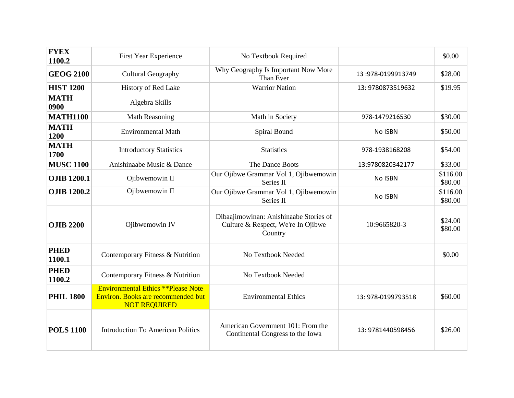| <b>FYEX</b><br>1100.2 | First Year Experience                                                                                  | No Textbook Required                                                                    |                    | \$0.00              |
|-----------------------|--------------------------------------------------------------------------------------------------------|-----------------------------------------------------------------------------------------|--------------------|---------------------|
| <b>GEOG 2100</b>      | <b>Cultural Geography</b>                                                                              | Why Geography Is Important Now More<br>Than Ever                                        | 13:978-0199913749  | \$28.00             |
| <b>HIST 1200</b>      | History of Red Lake                                                                                    | <b>Warrior Nation</b>                                                                   | 13: 9780873519632  | \$19.95             |
| <b>MATH</b><br>0900   | Algebra Skills                                                                                         |                                                                                         |                    |                     |
| <b>MATH1100</b>       | <b>Math Reasoning</b>                                                                                  | Math in Society                                                                         | 978-1479216530     | \$30.00             |
| <b>MATH</b><br>1200   | <b>Environmental Math</b>                                                                              | Spiral Bound                                                                            | No ISBN            | \$50.00             |
| <b>MATH</b><br>1700   | <b>Introductory Statistics</b>                                                                         | <b>Statistics</b>                                                                       | 978-1938168208     | \$54.00             |
| <b>MUSC 1100</b>      | Anishinaabe Music & Dance                                                                              | The Dance Boots                                                                         | 13:9780820342177   | \$33.00             |
| <b>OJIB 1200.1</b>    | Ojibwemowin II                                                                                         | Our Ojibwe Grammar Vol 1, Ojibwemowin<br>Series II                                      | No ISBN            | \$116.00<br>\$80.00 |
| <b>OJIB 1200.2</b>    | Ojibwemowin II                                                                                         | Our Ojibwe Grammar Vol 1, Ojibwemowin<br>Series II                                      | No ISBN            | \$116.00<br>\$80.00 |
| <b>OJIB 2200</b>      | Ojibwemowin IV                                                                                         | Dibaajimowinan: Anishinaabe Stories of<br>Culture & Respect, We're In Ojibwe<br>Country | 10:9665820-3       | \$24.00<br>\$80.00  |
| <b>PHED</b><br>1100.1 | Contemporary Fitness & Nutrition                                                                       | No Textbook Needed                                                                      |                    | \$0.00              |
| <b>PHED</b><br>1100.2 | Contemporary Fitness & Nutrition                                                                       | No Textbook Needed                                                                      |                    |                     |
| <b>PHIL 1800</b>      | <b>Environmental Ethics **Please Note</b><br>Environ. Books are recommended but<br><b>NOT REQUIRED</b> | <b>Environmental Ethics</b>                                                             | 13: 978-0199793518 | \$60.00             |
| <b>POLS 1100</b>      | <b>Introduction To American Politics</b>                                                               | American Government 101: From the<br>Continental Congress to the Iowa                   | 13: 9781440598456  | \$26.00             |